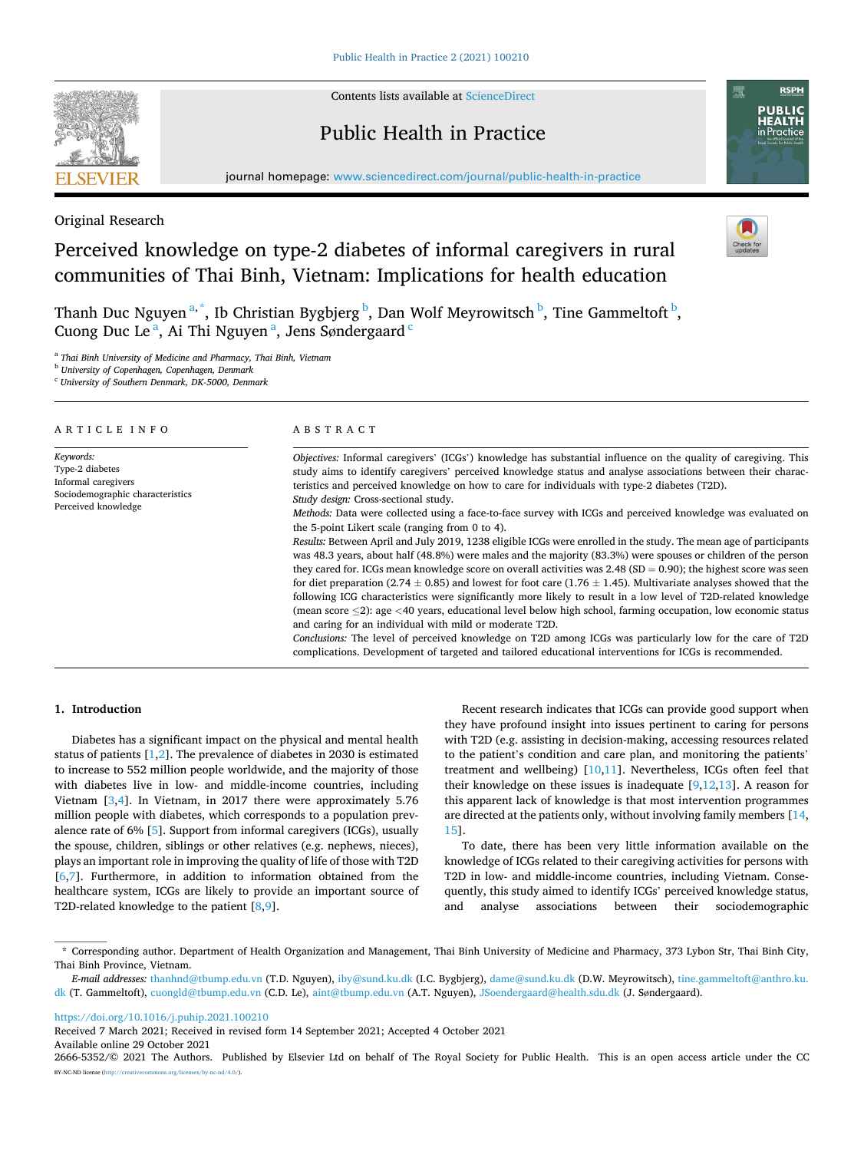

Contents lists available at [ScienceDirect](www.sciencedirect.com/science/journal/26665352)

## Public Health in Practice



journal homepage: [www.sciencedirect.com/journal/public-health-in-practice](https://www.sciencedirect.com/journal/public-health-in-practice) 

## Original Research

# Perceived knowledge on type-2 diabetes of informal caregivers in rural communities of Thai Binh, Vietnam: Implications for health education



Thanh Duc Nguyen<sup>a,\*</sup>, Ib Christian Bygbjerg <sup>b</sup>, Dan Wolf Meyrowitsch <sup>b</sup>, Tine Gammeltoft <sup>b</sup>, Cuong Duc Le<sup>a</sup>, Ai Thi Nguyen<sup>a</sup>, Jens Søndergaard<sup>c</sup>

<sup>a</sup> *Thai Binh University of Medicine and Pharmacy, Thai Binh, Vietnam* 

<sup>b</sup> *University of Copenhagen, Copenhagen, Denmark* 

<sup>c</sup> *University of Southern Denmark, DK-5000, Denmark* 

| ARTICLE INFO                                                                                                   | ABSTRACT                                                                                                                                                                                                                                                                                                                                                                                                                                                                                                                                                                                                                                                                                                                                                                                                                                                                                                                                                                                                                                                                                                                                                                                                                                                                                                                                                                                                                                                                                                                                                       |  |  |  |
|----------------------------------------------------------------------------------------------------------------|----------------------------------------------------------------------------------------------------------------------------------------------------------------------------------------------------------------------------------------------------------------------------------------------------------------------------------------------------------------------------------------------------------------------------------------------------------------------------------------------------------------------------------------------------------------------------------------------------------------------------------------------------------------------------------------------------------------------------------------------------------------------------------------------------------------------------------------------------------------------------------------------------------------------------------------------------------------------------------------------------------------------------------------------------------------------------------------------------------------------------------------------------------------------------------------------------------------------------------------------------------------------------------------------------------------------------------------------------------------------------------------------------------------------------------------------------------------------------------------------------------------------------------------------------------------|--|--|--|
| Keywords:<br>Type-2 diabetes<br>Informal caregivers<br>Sociodemographic characteristics<br>Perceived knowledge | Objectives: Informal caregivers' (ICGs') knowledge has substantial influence on the quality of caregiving. This<br>study aims to identify caregivers' perceived knowledge status and analyse associations between their charac-<br>teristics and perceived knowledge on how to care for individuals with type-2 diabetes (T2D).<br>Study design: Cross-sectional study.<br>Methods: Data were collected using a face-to-face survey with ICGs and perceived knowledge was evaluated on<br>the 5-point Likert scale (ranging from 0 to 4).<br>Results: Between April and July 2019, 1238 eligible ICGs were enrolled in the study. The mean age of participants<br>was 48.3 years, about half (48.8%) were males and the majority (83.3%) were spouses or children of the person<br>they cared for. ICGs mean knowledge score on overall activities was 2.48 (SD = 0.90); the highest score was seen<br>for diet preparation (2.74 $\pm$ 0.85) and lowest for foot care (1.76 $\pm$ 1.45). Multivariate analyses showed that the<br>following ICG characteristics were significantly more likely to result in a low level of T2D-related knowledge<br>(mean score $\leq$ 2): age $\leq$ 40 years, educational level below high school, farming occupation, low economic status<br>and caring for an individual with mild or moderate T2D.<br>Conclusions: The level of perceived knowledge on T2D among ICGs was particularly low for the care of T2D<br>complications. Development of targeted and tailored educational interventions for ICGs is recommended. |  |  |  |

## **1. Introduction**

Diabetes has a significant impact on the physical and mental health status of patients [[1,2\]](#page-4-0). The prevalence of diabetes in 2030 is estimated to increase to 552 million people worldwide, and the majority of those with diabetes live in low- and middle-income countries, including Vietnam [[3,4\]](#page-4-0). In Vietnam, in 2017 there were approximately 5.76 million people with diabetes, which corresponds to a population prevalence rate of 6% [[5](#page-4-0)]. Support from informal caregivers (ICGs), usually the spouse, children, siblings or other relatives (e.g. nephews, nieces), plays an important role in improving the quality of life of those with T2D [[6](#page-4-0),[7](#page-4-0)]. Furthermore, in addition to information obtained from the healthcare system, ICGs are likely to provide an important source of T2D-related knowledge to the patient [\[8,9](#page-4-0)].

Recent research indicates that ICGs can provide good support when they have profound insight into issues pertinent to caring for persons with T2D (e.g. assisting in decision-making, accessing resources related to the patient's condition and care plan, and monitoring the patients' treatment and wellbeing) [[10,11\]](#page-4-0). Nevertheless, ICGs often feel that their knowledge on these issues is inadequate  $[9,12,13]$  $[9,12,13]$  $[9,12,13]$  $[9,12,13]$ . A reason for this apparent lack of knowledge is that most intervention programmes are directed at the patients only, without involving family members [\[14](#page-4-0), [15\]](#page-4-0).

To date, there has been very little information available on the knowledge of ICGs related to their caregiving activities for persons with T2D in low- and middle-income countries, including Vietnam. Consequently, this study aimed to identify ICGs' perceived knowledge status, and analyse associations between their sociodemographic

<https://doi.org/10.1016/j.puhip.2021.100210>

Available online 29 October 2021 Received 7 March 2021; Received in revised form 14 September 2021; Accepted 4 October 2021

<sup>\*</sup> Corresponding author. Department of Health Organization and Management, Thai Binh University of Medicine and Pharmacy, 373 Lybon Str, Thai Binh City, Thai Binh Province, Vietnam.

*E-mail addresses:* [thanhnd@tbump.edu.vn](mailto:thanhnd@tbump.edu.vn) (T.D. Nguyen), [iby@sund.ku.dk](mailto:iby@sund.ku.dk) (I.C. Bygbjerg), [dame@sund.ku.dk](mailto:dame@sund.ku.dk) (D.W. Meyrowitsch), [tine.gammeltoft@anthro.ku.](mailto:tine.gammeltoft@anthro.ku.dk)  [dk](mailto:tine.gammeltoft@anthro.ku.dk) (T. Gammeltoft), [cuongld@tbump.edu.vn](mailto:cuongld@tbump.edu.vn) (C.D. Le), [aint@tbump.edu.vn](mailto:aint@tbump.edu.vn) (A.T. Nguyen), [JSoendergaard@health.sdu.dk](mailto:JSoendergaard@health.sdu.dk) (J. Søndergaard).

<sup>2666-5352/© 2021</sup> The Authors. Published by Elsevier Ltd on behalf of The Royal Society for Public Health. This is an open access article under the CC BY-NC-ND license(<http://creativecommons.org/licenses/by-nc-nd/4.0/>).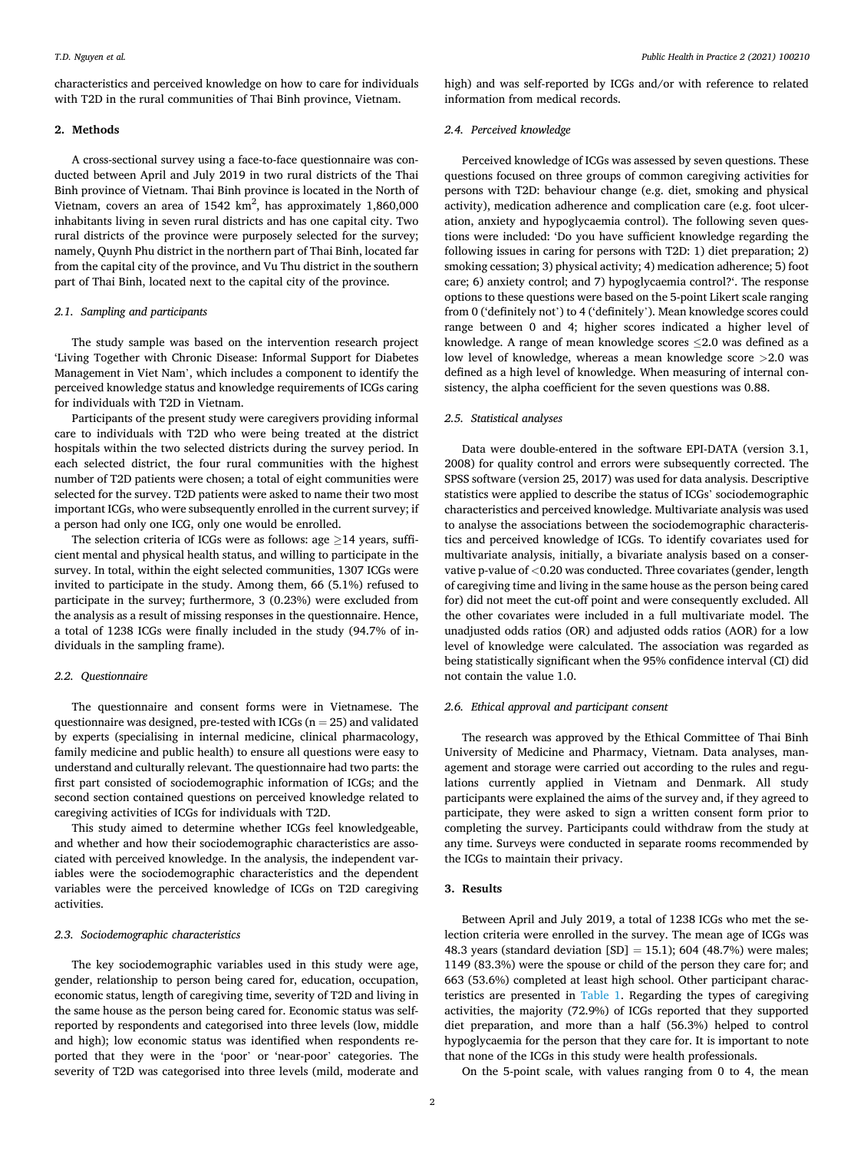characteristics and perceived knowledge on how to care for individuals with T2D in the rural communities of Thai Binh province, Vietnam.

#### **2. Methods**

A cross-sectional survey using a face-to-face questionnaire was conducted between April and July 2019 in two rural districts of the Thai Binh province of Vietnam. Thai Binh province is located in the North of Vietnam, covers an area of 1542  $\rm km^2$ , has approximately 1,860,000 inhabitants living in seven rural districts and has one capital city. Two rural districts of the province were purposely selected for the survey; namely, Quynh Phu district in the northern part of Thai Binh, located far from the capital city of the province, and Vu Thu district in the southern part of Thai Binh, located next to the capital city of the province.

#### *2.1. Sampling and participants*

The study sample was based on the intervention research project 'Living Together with Chronic Disease: Informal Support for Diabetes Management in Viet Nam', which includes a component to identify the perceived knowledge status and knowledge requirements of ICGs caring for individuals with T2D in Vietnam.

Participants of the present study were caregivers providing informal care to individuals with T2D who were being treated at the district hospitals within the two selected districts during the survey period. In each selected district, the four rural communities with the highest number of T2D patients were chosen; a total of eight communities were selected for the survey. T2D patients were asked to name their two most important ICGs, who were subsequently enrolled in the current survey; if a person had only one ICG, only one would be enrolled.

The selection criteria of ICGs were as follows: age  $\geq$ 14 years, sufficient mental and physical health status, and willing to participate in the survey. In total, within the eight selected communities, 1307 ICGs were invited to participate in the study. Among them, 66 (5.1%) refused to participate in the survey; furthermore, 3 (0.23%) were excluded from the analysis as a result of missing responses in the questionnaire. Hence, a total of 1238 ICGs were finally included in the study (94.7% of individuals in the sampling frame).

#### *2.2. Questionnaire*

The questionnaire and consent forms were in Vietnamese. The questionnaire was designed, pre-tested with ICGs ( $n = 25$ ) and validated by experts (specialising in internal medicine, clinical pharmacology, family medicine and public health) to ensure all questions were easy to understand and culturally relevant. The questionnaire had two parts: the first part consisted of sociodemographic information of ICGs; and the second section contained questions on perceived knowledge related to caregiving activities of ICGs for individuals with T2D.

This study aimed to determine whether ICGs feel knowledgeable, and whether and how their sociodemographic characteristics are associated with perceived knowledge. In the analysis, the independent variables were the sociodemographic characteristics and the dependent variables were the perceived knowledge of ICGs on T2D caregiving activities.

#### *2.3. Sociodemographic characteristics*

The key sociodemographic variables used in this study were age, gender, relationship to person being cared for, education, occupation, economic status, length of caregiving time, severity of T2D and living in the same house as the person being cared for. Economic status was selfreported by respondents and categorised into three levels (low, middle and high); low economic status was identified when respondents reported that they were in the 'poor' or 'near-poor' categories. The severity of T2D was categorised into three levels (mild, moderate and high) and was self-reported by ICGs and/or with reference to related information from medical records.

### *2.4. Perceived knowledge*

Perceived knowledge of ICGs was assessed by seven questions. These questions focused on three groups of common caregiving activities for persons with T2D: behaviour change (e.g. diet, smoking and physical activity), medication adherence and complication care (e.g. foot ulceration, anxiety and hypoglycaemia control). The following seven questions were included: 'Do you have sufficient knowledge regarding the following issues in caring for persons with T2D: 1) diet preparation; 2) smoking cessation; 3) physical activity; 4) medication adherence; 5) foot care; 6) anxiety control; and 7) hypoglycaemia control?'. The response options to these questions were based on the 5-point Likert scale ranging from 0 ('definitely not') to 4 ('definitely'). Mean knowledge scores could range between 0 and 4; higher scores indicated a higher level of knowledge. A range of mean knowledge scores  $\leq$  2.0 was defined as a low level of knowledge, whereas a mean knowledge score *>*2.0 was defined as a high level of knowledge. When measuring of internal consistency, the alpha coefficient for the seven questions was 0.88.

## *2.5. Statistical analyses*

Data were double-entered in the software EPI-DATA (version 3.1, 2008) for quality control and errors were subsequently corrected. The SPSS software (version 25, 2017) was used for data analysis. Descriptive statistics were applied to describe the status of ICGs' sociodemographic characteristics and perceived knowledge. Multivariate analysis was used to analyse the associations between the sociodemographic characteristics and perceived knowledge of ICGs. To identify covariates used for multivariate analysis, initially, a bivariate analysis based on a conservative p-value of *<*0.20 was conducted. Three covariates (gender, length of caregiving time and living in the same house as the person being cared for) did not meet the cut-off point and were consequently excluded. All the other covariates were included in a full multivariate model. The unadjusted odds ratios (OR) and adjusted odds ratios (AOR) for a low level of knowledge were calculated. The association was regarded as being statistically significant when the 95% confidence interval (CI) did not contain the value 1.0.

### *2.6. Ethical approval and participant consent*

The research was approved by the Ethical Committee of Thai Binh University of Medicine and Pharmacy, Vietnam. Data analyses, management and storage were carried out according to the rules and regulations currently applied in Vietnam and Denmark. All study participants were explained the aims of the survey and, if they agreed to participate, they were asked to sign a written consent form prior to completing the survey. Participants could withdraw from the study at any time. Surveys were conducted in separate rooms recommended by the ICGs to maintain their privacy.

### **3. Results**

Between April and July 2019, a total of 1238 ICGs who met the selection criteria were enrolled in the survey. The mean age of ICGs was 48.3 years (standard deviation  $[SD] = 15.1$ ); 604 (48.7%) were males; 1149 (83.3%) were the spouse or child of the person they care for; and 663 (53.6%) completed at least high school. Other participant characteristics are presented in [Table 1](#page-2-0). Regarding the types of caregiving activities, the majority (72.9%) of ICGs reported that they supported diet preparation, and more than a half (56.3%) helped to control hypoglycaemia for the person that they care for. It is important to note that none of the ICGs in this study were health professionals.

On the 5-point scale, with values ranging from 0 to 4, the mean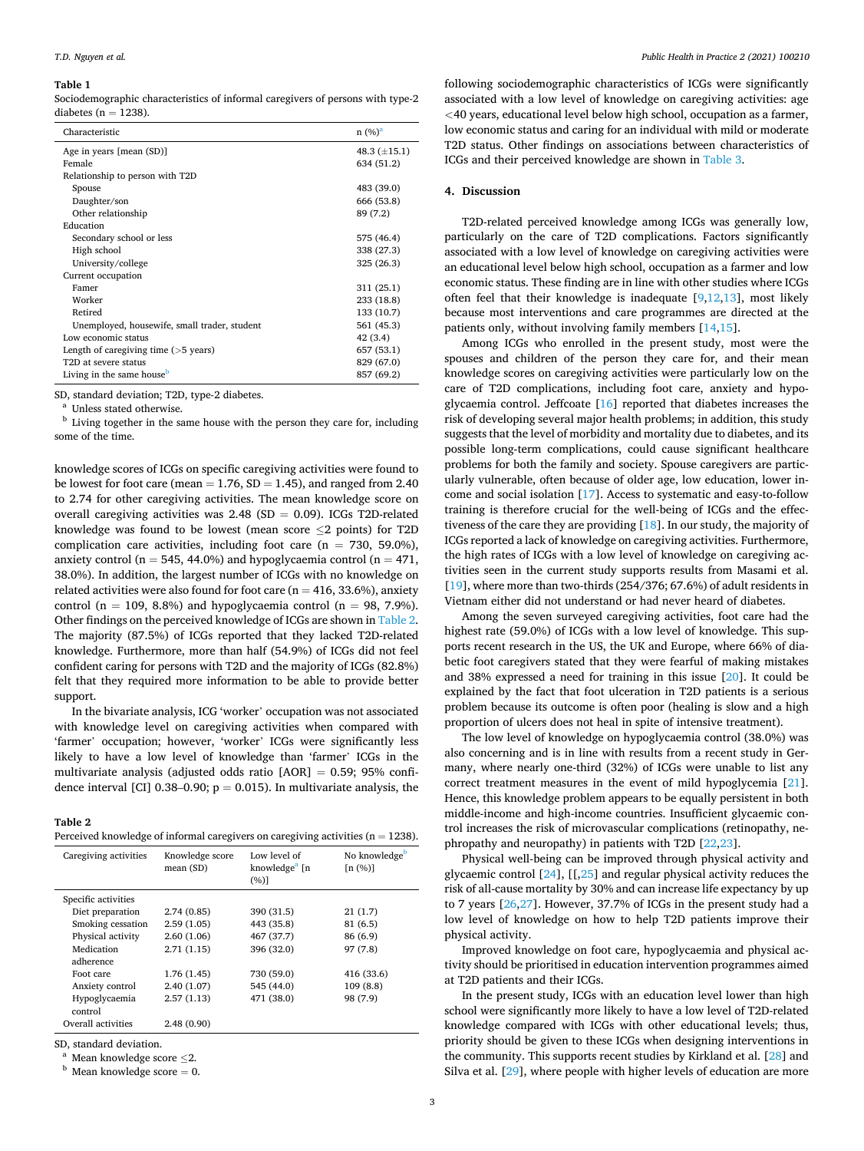#### <span id="page-2-0"></span>**Table 1**

Sociodemographic characteristics of informal caregivers of persons with type-2 diabetes ( $n = 1238$ ).

| Characteristic                               | n (%) <sup>a</sup> |
|----------------------------------------------|--------------------|
| Age in years [mean (SD)]                     | 48.3 $(\pm 15.1)$  |
| Female                                       | 634 (51.2)         |
| Relationship to person with T2D              |                    |
| Spouse                                       | 483 (39.0)         |
| Daughter/son                                 | 666 (53.8)         |
| Other relationship                           | 89 (7.2)           |
| Education                                    |                    |
| Secondary school or less                     | 575 (46.4)         |
| High school                                  | 338 (27.3)         |
| University/college                           | 325 (26.3)         |
| Current occupation                           |                    |
| Famer                                        | 311 (25.1)         |
| Worker                                       | 233 (18.8)         |
| Retired                                      | 133 (10.7)         |
| Unemployed, housewife, small trader, student | 561 (45.3)         |
| Low economic status                          | 42 (3.4)           |
| Length of caregiving time $($ >5 years $)$   | 657 (53.1)         |
| T <sub>2</sub> D at severe status            | 829 (67.0)         |
| Living in the same house <sup>b</sup>        | 857 (69.2)         |

SD, standard deviation; T2D, type-2 diabetes.<br><sup>a</sup> Unless stated otherwise.<br><sup>b</sup> Living together in the same house with the person they care for, including some of the time.

knowledge scores of ICGs on specific caregiving activities were found to be lowest for foot care (mean  $= 1.76$ , SD  $= 1.45$ ), and ranged from 2.40 to 2.74 for other caregiving activities. The mean knowledge score on overall caregiving activities was  $2.48$  (SD = 0.09). ICGs T2D-related knowledge was found to be lowest (mean score ≤2 points) for T2D complication care activities, including foot care ( $n = 730, 59.0\%$ ), anxiety control ( $n = 545, 44.0\%$ ) and hypoglycaemia control ( $n = 471,$ 38.0%). In addition, the largest number of ICGs with no knowledge on related activities were also found for foot care ( $n = 416, 33.6\%$ ), anxiety control (n = 109, 8.8%) and hypoglycaemia control (n = 98, 7.9%). Other findings on the perceived knowledge of ICGs are shown in Table 2. The majority (87.5%) of ICGs reported that they lacked T2D-related knowledge. Furthermore, more than half (54.9%) of ICGs did not feel confident caring for persons with T2D and the majority of ICGs (82.8%) felt that they required more information to be able to provide better support.

In the bivariate analysis, ICG 'worker' occupation was not associated with knowledge level on caregiving activities when compared with 'farmer' occupation; however, 'worker' ICGs were significantly less likely to have a low level of knowledge than 'farmer' ICGs in the multivariate analysis (adjusted odds ratio  $[AOR] = 0.59$ ; 95% confidence interval [CI] 0.38–0.90;  $p = 0.015$ ). In multivariate analysis, the

## **Table 2**

| Perceived knowledge of informal caregivers on caregiving activities ( $n = 1238$ ). |
|-------------------------------------------------------------------------------------|
|-------------------------------------------------------------------------------------|

| Caregiving activities | Knowledge score<br>mean (SD) | Low level of<br>knowledge <sup>a</sup> [n<br>(%)] | No knowledge <sup>b</sup><br>[n (%)] |
|-----------------------|------------------------------|---------------------------------------------------|--------------------------------------|
| Specific activities   |                              |                                                   |                                      |
| Diet preparation      | 2.74(0.85)                   | 390 (31.5)                                        | 21(1.7)                              |
| Smoking cessation     | 2.59(1.05)                   | 443 (35.8)                                        | 81 (6.5)                             |
| Physical activity     | 2.60(1.06)                   | 467 (37.7)                                        | 86 (6.9)                             |
| Medication            | 2.71(1.15)                   | 396 (32.0)                                        | 97 (7.8)                             |
| adherence             |                              |                                                   |                                      |
| Foot care             | 1.76 (1.45)                  | 730 (59.0)                                        | 416 (33.6)                           |
| Anxiety control       | 2.40(1.07)                   | 545 (44.0)                                        | 109(8.8)                             |
| Hypoglycaemia         | 2.57(1.13)                   | 471 (38.0)                                        | 98 (7.9)                             |
| control               |                              |                                                   |                                      |
| Overall activities    | 2.48(0.90)                   |                                                   |                                      |

SD, standard deviation. <br><sup>a</sup> Mean knowledge score  $\leq$ 2.<br><sup>b</sup> Mean knowledge score = 0.

following sociodemographic characteristics of ICGs were significantly associated with a low level of knowledge on caregiving activities: age *<*40 years, educational level below high school, occupation as a farmer, low economic status and caring for an individual with mild or moderate T2D status. Other findings on associations between characteristics of ICGs and their perceived knowledge are shown in [Table 3](#page-3-0).

#### **4. Discussion**

T2D-related perceived knowledge among ICGs was generally low, particularly on the care of T2D complications. Factors significantly associated with a low level of knowledge on caregiving activities were an educational level below high school, occupation as a farmer and low economic status. These finding are in line with other studies where ICGs often feel that their knowledge is inadequate [\[9,12,13\]](#page-4-0), most likely because most interventions and care programmes are directed at the patients only, without involving family members [\[14,15](#page-4-0)].

Among ICGs who enrolled in the present study, most were the spouses and children of the person they care for, and their mean knowledge scores on caregiving activities were particularly low on the care of T2D complications, including foot care, anxiety and hypoglycaemia control. Jeffcoate  $[16]$  $[16]$  reported that diabetes increases the risk of developing several major health problems; in addition, this study suggests that the level of morbidity and mortality due to diabetes, and its possible long-term complications, could cause significant healthcare problems for both the family and society. Spouse caregivers are particularly vulnerable, often because of older age, low education, lower income and social isolation [[17\]](#page-4-0). Access to systematic and easy-to-follow training is therefore crucial for the well-being of ICGs and the effectiveness of the care they are providing [[18\]](#page-4-0). In our study, the majority of ICGs reported a lack of knowledge on caregiving activities. Furthermore, the high rates of ICGs with a low level of knowledge on caregiving activities seen in the current study supports results from Masami et al. [[19\]](#page-4-0), where more than two-thirds (254/376; 67.6%) of adult residents in Vietnam either did not understand or had never heard of diabetes.

Among the seven surveyed caregiving activities, foot care had the highest rate (59.0%) of ICGs with a low level of knowledge. This supports recent research in the US, the UK and Europe, where 66% of diabetic foot caregivers stated that they were fearful of making mistakes and 38% expressed a need for training in this issue [\[20](#page-4-0)]. It could be explained by the fact that foot ulceration in T2D patients is a serious problem because its outcome is often poor (healing is slow and a high proportion of ulcers does not heal in spite of intensive treatment).

The low level of knowledge on hypoglycaemia control (38.0%) was also concerning and is in line with results from a recent study in Germany, where nearly one-third (32%) of ICGs were unable to list any correct treatment measures in the event of mild hypoglycemia [\[21](#page-4-0)]. Hence, this knowledge problem appears to be equally persistent in both middle-income and high-income countries. Insufficient glycaemic control increases the risk of microvascular complications (retinopathy, nephropathy and neuropathy) in patients with T2D [\[22](#page-4-0),[23\]](#page-4-0).

Physical well-being can be improved through physical activity and glycaemic control  $[24]$  $[24]$ ,  $[1,25]$  $[1,25]$  $[1,25]$  and regular physical activity reduces the risk of all-cause mortality by 30% and can increase life expectancy by up to 7 years [\[26](#page-4-0),[27\]](#page-4-0). However, 37.7% of ICGs in the present study had a low level of knowledge on how to help T2D patients improve their physical activity.

Improved knowledge on foot care, hypoglycaemia and physical activity should be prioritised in education intervention programmes aimed at T2D patients and their ICGs.

In the present study, ICGs with an education level lower than high school were significantly more likely to have a low level of T2D-related knowledge compared with ICGs with other educational levels; thus, priority should be given to these ICGs when designing interventions in the community. This supports recent studies by Kirkland et al. [\[28](#page-4-0)] and Silva et al. [[29\]](#page-4-0), where people with higher levels of education are more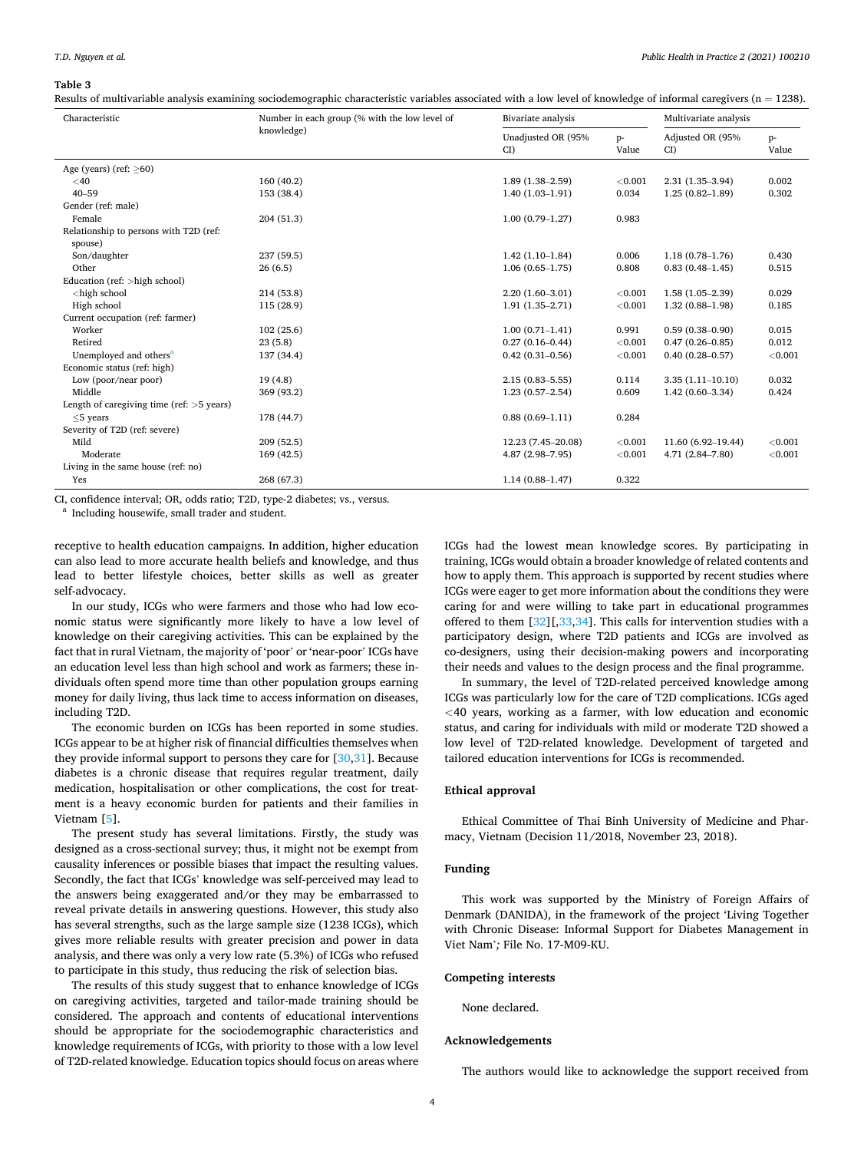#### <span id="page-3-0"></span>**Table 3**

Results of multivariable analysis examining sociodemographic characteristic variables associated with a low level of knowledge of informal caregivers ( $n = 1238$ ).

| Unadjusted OR (95%<br>Adjusted OR (95%<br>$p-$<br>$p-$<br>Value<br>CI)<br>CD<br>Value<br>Age (years) (ref: $\geq 60$ )<br>160(40.2)<br>< 0.001<br>2.31 (1.35-3.94)<br>0.002<br>$<$ 40<br>$1.89(1.38 - 2.59)$<br>$40 - 59$<br>0.034<br>0.302<br>153 (38.4)<br>$1.40(1.03-1.91)$<br>$1.25(0.82 - 1.89)$<br>Gender (ref: male)<br>Female<br>204(51.3)<br>$1.00(0.79-1.27)$<br>0.983<br>Relationship to persons with T2D (ref:<br>spouse)<br>Son/daughter<br>237 (59.5)<br>$1.42(1.10-1.84)$<br>0.006<br>$1.18(0.78 - 1.76)$<br>0.430<br>Other<br>0.515<br>$1.06(0.65-1.75)$<br>0.808<br>$0.83(0.48 - 1.45)$<br>26(6.5)<br>Education (ref: >high school)<br><high school<br="">214 (53.8)<br/>&lt; 0.001<br/><math>1.58(1.05-2.39)</math><br/>0.029<br/><math>2.20(1.60-3.01)</math><br/>High school<br/>&lt; 0.001<br/>115 (28.9)<br/><math>1.91(1.35 - 2.71)</math><br/><math>1.32(0.88 - 1.98)</math><br/>0.185<br/>Current occupation (ref: farmer)<br/>Worker<br/>102(25.6)<br/><math>1.00(0.71-1.41)</math><br/>0.991<br/><math>0.59(0.38 - 0.90)</math><br/>0.015<br/>0.012<br/>Retired<br/>23(5.8)<br/><math>0.27(0.16 - 0.44)</math><br/>&lt; 0.001<br/><math>0.47(0.26 - 0.85)</math><br/>Unemployed and others<sup>a</sup><br/>137 (34.4)<br/><math>0.42(0.31 - 0.56)</math><br/>&lt; 0.001<br/><math>0.40(0.28 - 0.57)</math><br/>&lt; 0.001<br/>Economic status (ref: high)<br/>19(4.8)<br/>0.114<br/>0.032<br/>Low (poor/near poor)<br/><math>2.15(0.83 - 5.55)</math><br/><math>3.35(1.11 - 10.10)</math><br/>Middle<br/>369 (93.2)<br/>0.609<br/><math>1.42(0.60 - 3.34)</math><br/>0.424<br/><math>1.23(0.57-2.54)</math><br/>Length of caregiving time (ref: <math>&gt;5</math> years)<br/><math>&lt;</math>5 years<br/>178 (44.7)<br/><math>0.88(0.69 - 1.11)</math><br/>0.284<br/>Severity of T2D (ref: severe)<br/>Mild<br/>209(52.5)<br/>&lt; 0.001<br/>&lt; 0.001<br/>12.23 (7.45-20.08)<br/>11.60 (6.92-19.44)</high> | Characteristic | Number in each group (% with the low level of | Bivariate analysis |         | Multivariate analysis |         |
|-------------------------------------------------------------------------------------------------------------------------------------------------------------------------------------------------------------------------------------------------------------------------------------------------------------------------------------------------------------------------------------------------------------------------------------------------------------------------------------------------------------------------------------------------------------------------------------------------------------------------------------------------------------------------------------------------------------------------------------------------------------------------------------------------------------------------------------------------------------------------------------------------------------------------------------------------------------------------------------------------------------------------------------------------------------------------------------------------------------------------------------------------------------------------------------------------------------------------------------------------------------------------------------------------------------------------------------------------------------------------------------------------------------------------------------------------------------------------------------------------------------------------------------------------------------------------------------------------------------------------------------------------------------------------------------------------------------------------------------------------------------------------------------------------------------------------------------------------------------------------------------------------------------------------------------------|----------------|-----------------------------------------------|--------------------|---------|-----------------------|---------|
|                                                                                                                                                                                                                                                                                                                                                                                                                                                                                                                                                                                                                                                                                                                                                                                                                                                                                                                                                                                                                                                                                                                                                                                                                                                                                                                                                                                                                                                                                                                                                                                                                                                                                                                                                                                                                                                                                                                                           |                | knowledge)                                    |                    |         |                       |         |
|                                                                                                                                                                                                                                                                                                                                                                                                                                                                                                                                                                                                                                                                                                                                                                                                                                                                                                                                                                                                                                                                                                                                                                                                                                                                                                                                                                                                                                                                                                                                                                                                                                                                                                                                                                                                                                                                                                                                           |                |                                               |                    |         |                       |         |
|                                                                                                                                                                                                                                                                                                                                                                                                                                                                                                                                                                                                                                                                                                                                                                                                                                                                                                                                                                                                                                                                                                                                                                                                                                                                                                                                                                                                                                                                                                                                                                                                                                                                                                                                                                                                                                                                                                                                           |                |                                               |                    |         |                       |         |
|                                                                                                                                                                                                                                                                                                                                                                                                                                                                                                                                                                                                                                                                                                                                                                                                                                                                                                                                                                                                                                                                                                                                                                                                                                                                                                                                                                                                                                                                                                                                                                                                                                                                                                                                                                                                                                                                                                                                           |                |                                               |                    |         |                       |         |
|                                                                                                                                                                                                                                                                                                                                                                                                                                                                                                                                                                                                                                                                                                                                                                                                                                                                                                                                                                                                                                                                                                                                                                                                                                                                                                                                                                                                                                                                                                                                                                                                                                                                                                                                                                                                                                                                                                                                           |                |                                               |                    |         |                       |         |
|                                                                                                                                                                                                                                                                                                                                                                                                                                                                                                                                                                                                                                                                                                                                                                                                                                                                                                                                                                                                                                                                                                                                                                                                                                                                                                                                                                                                                                                                                                                                                                                                                                                                                                                                                                                                                                                                                                                                           |                |                                               |                    |         |                       |         |
|                                                                                                                                                                                                                                                                                                                                                                                                                                                                                                                                                                                                                                                                                                                                                                                                                                                                                                                                                                                                                                                                                                                                                                                                                                                                                                                                                                                                                                                                                                                                                                                                                                                                                                                                                                                                                                                                                                                                           |                |                                               |                    |         |                       |         |
|                                                                                                                                                                                                                                                                                                                                                                                                                                                                                                                                                                                                                                                                                                                                                                                                                                                                                                                                                                                                                                                                                                                                                                                                                                                                                                                                                                                                                                                                                                                                                                                                                                                                                                                                                                                                                                                                                                                                           |                |                                               |                    |         |                       |         |
|                                                                                                                                                                                                                                                                                                                                                                                                                                                                                                                                                                                                                                                                                                                                                                                                                                                                                                                                                                                                                                                                                                                                                                                                                                                                                                                                                                                                                                                                                                                                                                                                                                                                                                                                                                                                                                                                                                                                           |                |                                               |                    |         |                       |         |
|                                                                                                                                                                                                                                                                                                                                                                                                                                                                                                                                                                                                                                                                                                                                                                                                                                                                                                                                                                                                                                                                                                                                                                                                                                                                                                                                                                                                                                                                                                                                                                                                                                                                                                                                                                                                                                                                                                                                           |                |                                               |                    |         |                       |         |
|                                                                                                                                                                                                                                                                                                                                                                                                                                                                                                                                                                                                                                                                                                                                                                                                                                                                                                                                                                                                                                                                                                                                                                                                                                                                                                                                                                                                                                                                                                                                                                                                                                                                                                                                                                                                                                                                                                                                           |                |                                               |                    |         |                       |         |
|                                                                                                                                                                                                                                                                                                                                                                                                                                                                                                                                                                                                                                                                                                                                                                                                                                                                                                                                                                                                                                                                                                                                                                                                                                                                                                                                                                                                                                                                                                                                                                                                                                                                                                                                                                                                                                                                                                                                           |                |                                               |                    |         |                       |         |
|                                                                                                                                                                                                                                                                                                                                                                                                                                                                                                                                                                                                                                                                                                                                                                                                                                                                                                                                                                                                                                                                                                                                                                                                                                                                                                                                                                                                                                                                                                                                                                                                                                                                                                                                                                                                                                                                                                                                           |                |                                               |                    |         |                       |         |
|                                                                                                                                                                                                                                                                                                                                                                                                                                                                                                                                                                                                                                                                                                                                                                                                                                                                                                                                                                                                                                                                                                                                                                                                                                                                                                                                                                                                                                                                                                                                                                                                                                                                                                                                                                                                                                                                                                                                           |                |                                               |                    |         |                       |         |
|                                                                                                                                                                                                                                                                                                                                                                                                                                                                                                                                                                                                                                                                                                                                                                                                                                                                                                                                                                                                                                                                                                                                                                                                                                                                                                                                                                                                                                                                                                                                                                                                                                                                                                                                                                                                                                                                                                                                           |                |                                               |                    |         |                       |         |
|                                                                                                                                                                                                                                                                                                                                                                                                                                                                                                                                                                                                                                                                                                                                                                                                                                                                                                                                                                                                                                                                                                                                                                                                                                                                                                                                                                                                                                                                                                                                                                                                                                                                                                                                                                                                                                                                                                                                           |                |                                               |                    |         |                       |         |
|                                                                                                                                                                                                                                                                                                                                                                                                                                                                                                                                                                                                                                                                                                                                                                                                                                                                                                                                                                                                                                                                                                                                                                                                                                                                                                                                                                                                                                                                                                                                                                                                                                                                                                                                                                                                                                                                                                                                           |                |                                               |                    |         |                       |         |
|                                                                                                                                                                                                                                                                                                                                                                                                                                                                                                                                                                                                                                                                                                                                                                                                                                                                                                                                                                                                                                                                                                                                                                                                                                                                                                                                                                                                                                                                                                                                                                                                                                                                                                                                                                                                                                                                                                                                           |                |                                               |                    |         |                       |         |
|                                                                                                                                                                                                                                                                                                                                                                                                                                                                                                                                                                                                                                                                                                                                                                                                                                                                                                                                                                                                                                                                                                                                                                                                                                                                                                                                                                                                                                                                                                                                                                                                                                                                                                                                                                                                                                                                                                                                           |                |                                               |                    |         |                       |         |
|                                                                                                                                                                                                                                                                                                                                                                                                                                                                                                                                                                                                                                                                                                                                                                                                                                                                                                                                                                                                                                                                                                                                                                                                                                                                                                                                                                                                                                                                                                                                                                                                                                                                                                                                                                                                                                                                                                                                           |                |                                               |                    |         |                       |         |
|                                                                                                                                                                                                                                                                                                                                                                                                                                                                                                                                                                                                                                                                                                                                                                                                                                                                                                                                                                                                                                                                                                                                                                                                                                                                                                                                                                                                                                                                                                                                                                                                                                                                                                                                                                                                                                                                                                                                           |                |                                               |                    |         |                       |         |
|                                                                                                                                                                                                                                                                                                                                                                                                                                                                                                                                                                                                                                                                                                                                                                                                                                                                                                                                                                                                                                                                                                                                                                                                                                                                                                                                                                                                                                                                                                                                                                                                                                                                                                                                                                                                                                                                                                                                           |                |                                               |                    |         |                       |         |
|                                                                                                                                                                                                                                                                                                                                                                                                                                                                                                                                                                                                                                                                                                                                                                                                                                                                                                                                                                                                                                                                                                                                                                                                                                                                                                                                                                                                                                                                                                                                                                                                                                                                                                                                                                                                                                                                                                                                           |                |                                               |                    |         |                       |         |
|                                                                                                                                                                                                                                                                                                                                                                                                                                                                                                                                                                                                                                                                                                                                                                                                                                                                                                                                                                                                                                                                                                                                                                                                                                                                                                                                                                                                                                                                                                                                                                                                                                                                                                                                                                                                                                                                                                                                           |                |                                               |                    |         |                       |         |
|                                                                                                                                                                                                                                                                                                                                                                                                                                                                                                                                                                                                                                                                                                                                                                                                                                                                                                                                                                                                                                                                                                                                                                                                                                                                                                                                                                                                                                                                                                                                                                                                                                                                                                                                                                                                                                                                                                                                           | Moderate       | 169(42.5)                                     | 4.87 (2.98-7.95)   | < 0.001 | 4.71 (2.84-7.80)      | < 0.001 |
| Living in the same house (ref: no)                                                                                                                                                                                                                                                                                                                                                                                                                                                                                                                                                                                                                                                                                                                                                                                                                                                                                                                                                                                                                                                                                                                                                                                                                                                                                                                                                                                                                                                                                                                                                                                                                                                                                                                                                                                                                                                                                                        |                |                                               |                    |         |                       |         |
| 268 (67.3)<br>Yes<br>$1.14(0.88 - 1.47)$<br>0.322                                                                                                                                                                                                                                                                                                                                                                                                                                                                                                                                                                                                                                                                                                                                                                                                                                                                                                                                                                                                                                                                                                                                                                                                                                                                                                                                                                                                                                                                                                                                                                                                                                                                                                                                                                                                                                                                                         |                |                                               |                    |         |                       |         |

CI, confidence interval; OR, odds ratio; T2D, type-2 diabetes; vs., versus. a Including housewife, small trader and student.

receptive to health education campaigns. In addition, higher education can also lead to more accurate health beliefs and knowledge, and thus lead to better lifestyle choices, better skills as well as greater self-advocacy.

In our study, ICGs who were farmers and those who had low economic status were significantly more likely to have a low level of knowledge on their caregiving activities. This can be explained by the fact that in rural Vietnam, the majority of 'poor' or 'near-poor' ICGs have an education level less than high school and work as farmers; these individuals often spend more time than other population groups earning money for daily living, thus lack time to access information on diseases, including T2D.

The economic burden on ICGs has been reported in some studies. ICGs appear to be at higher risk of financial difficulties themselves when they provide informal support to persons they care for  $[30,31]$  $[30,31]$ . Because diabetes is a chronic disease that requires regular treatment, daily medication, hospitalisation or other complications, the cost for treatment is a heavy economic burden for patients and their families in Vietnam [\[5\]](#page-4-0).

The present study has several limitations. Firstly, the study was designed as a cross-sectional survey; thus, it might not be exempt from causality inferences or possible biases that impact the resulting values. Secondly, the fact that ICGs' knowledge was self-perceived may lead to the answers being exaggerated and/or they may be embarrassed to reveal private details in answering questions. However, this study also has several strengths, such as the large sample size (1238 ICGs), which gives more reliable results with greater precision and power in data analysis, and there was only a very low rate (5.3%) of ICGs who refused to participate in this study, thus reducing the risk of selection bias.

The results of this study suggest that to enhance knowledge of ICGs on caregiving activities, targeted and tailor-made training should be considered. The approach and contents of educational interventions should be appropriate for the sociodemographic characteristics and knowledge requirements of ICGs, with priority to those with a low level of T2D-related knowledge. Education topics should focus on areas where ICGs had the lowest mean knowledge scores. By participating in training, ICGs would obtain a broader knowledge of related contents and how to apply them. This approach is supported by recent studies where ICGs were eager to get more information about the conditions they were caring for and were willing to take part in educational programmes offered to them [[32\]](#page-4-0)[,[33,34\]](#page-4-0). This calls for intervention studies with a participatory design, where T2D patients and ICGs are involved as co-designers, using their decision-making powers and incorporating their needs and values to the design process and the final programme.

In summary, the level of T2D-related perceived knowledge among ICGs was particularly low for the care of T2D complications. ICGs aged *<*40 years, working as a farmer, with low education and economic status, and caring for individuals with mild or moderate T2D showed a low level of T2D-related knowledge. Development of targeted and tailored education interventions for ICGs is recommended.

### **Ethical approval**

Ethical Committee of Thai Binh University of Medicine and Pharmacy, Vietnam (Decision 11/2018, November 23, 2018).

#### **Funding**

This work was supported by the Ministry of Foreign Affairs of Denmark (DANIDA), in the framework of the project 'Living Together with Chronic Disease: Informal Support for Diabetes Management in Viet Nam'*;* File No. 17-M09-KU.

## **Competing interests**

None declared.

## **Acknowledgements**

The authors would like to acknowledge the support received from